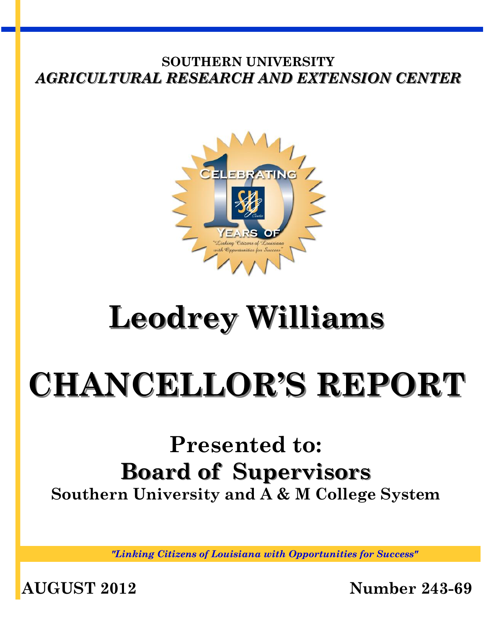## **SOUTHERN UNIVERSITY**  *AGRICULTURAL RESEARCH AND EXTENSION CENTER*



# **Leodrey Williams**

# **CHANCELLOR'S REPORT**

# **Presented to: Board of Supervisors Southern University and A & M College System**

*"Linking Citizens of Louisiana with Opportunities for Success"*

**AUGUST 2012 Number 243-69**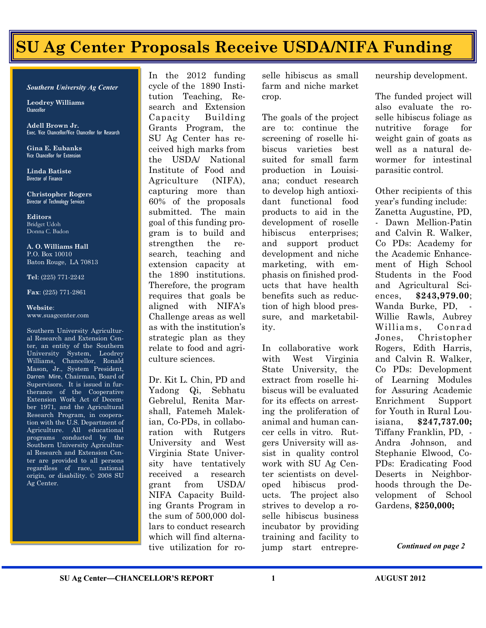## **SU Ag Center Proposals Receive USDA/NIFA Funding**

#### *Southern University Ag Center*

**Leodrey Williams**  Chancellor

**Adell Brown Jr.**  Exec. Vice Chancellor/Vice Chancellor for Research

**Gina E. Eubanks** Vice Chancellor for Extension

**Linda Batiste** Director of Finance

**Christopher Rogers** Director of Technology Services

**Editors** Bridget Udoh Donna C. Badon

**A. O. Williams Hall** P.O. Box 10010 Baton Rouge, LA 70813

**Tel**: (225) 771-2242

**Fax**: (225) 771-2861

#### **Website**: www.suagcenter.com

Southern University Agricultural Research and Extension Center, an entity of the Southern University System, Leodrey Williams, Chancellor, Ronald Mason, Jr., System President, Darren Mire, Chairman, Board of Supervisors. It is issued in furtherance of the Cooperative Extension Work Act of December 1971, and the Agricultural Research Program, in cooperation with the U.S. Department of Agriculture. All educational programs conducted by the Southern University Agricultural Research and Extension Center are provided to all persons regardless of race, national origin, or disability. © 2008 SU Ag Center.

In the 2012 funding cycle of the 1890 Institution Teaching, Research and Extension Capacity Building Grants Program, the SU Ag Center has received high marks from the USDA/ National Institute of Food and Agriculture (NIFA), capturing more than 60% of the proposals submitted. The main goal of this funding program is to build and strengthen the research, teaching and extension capacity at the 1890 institutions. Therefore, the program requires that goals be aligned with NIFA's Challenge areas as well as with the institution's strategic plan as they relate to food and agriculture sciences.

Dr. Kit L. Chin, PD and Yadong Qi, Sebhatu Gebrelul, Renita Marshall, Fatemeh Malekian, Co-PDs, in collaboration with Rutgers University and West Virginia State University have tentatively received a research grant from USDA/ NIFA Capacity Building Grants Program in the sum of 500,000 dollars to conduct research which will find alternative utilization for roselle hibiscus as small farm and niche market crop.

The goals of the project are to: continue the screening of roselle hibiscus varieties best suited for small farm production in Louisiana; conduct research to develop high antioxidant functional food products to aid in the development of roselle hibiscus enterprises; and support product development and niche marketing, with emphasis on finished products that have health benefits such as reduction of high blood pressure, and marketability.

In collaborative work with West Virginia State University, the extract from roselle hibiscus will be evaluated for its effects on arresting the proliferation of animal and human cancer cells in vitro. Rutgers University will assist in quality control work with SU Ag Center scientists on developed hibiscus products. The project also strives to develop a roselle hibiscus business incubator by providing training and facility to jump start entrepreneurship development.

The funded project will also evaluate the roselle hibiscus foliage as nutritive forage for weight gain of goats as well as a natural dewormer for intestinal parasitic control.

Other recipients of this year's funding include: Zanetta Augustine, PD, - Dawn Mellion-Patin and Calvin R. Walker, Co PDs: Academy for the Academic Enhancement of High School Students in the Food and Agricultural Sciences, **\$243,979.00**; Wanda Burke, PD, - Willie Rawls, Aubrey Williams, Conrad Jones, Christopher Rogers, Edith Harris, and Calvin R. Walker, Co PDs: Development of Learning Modules for Assuring Academic Enrichment Support for Youth in Rural Louisiana, **\$247,737.00;** Tiffany Franklin, PD, - Andra Johnson, and Stephanie Elwood, Co-PDs: Eradicating Food Deserts in Neighborhoods through the Development of School Gardens, **\$250,000;**

*Continued on page 2*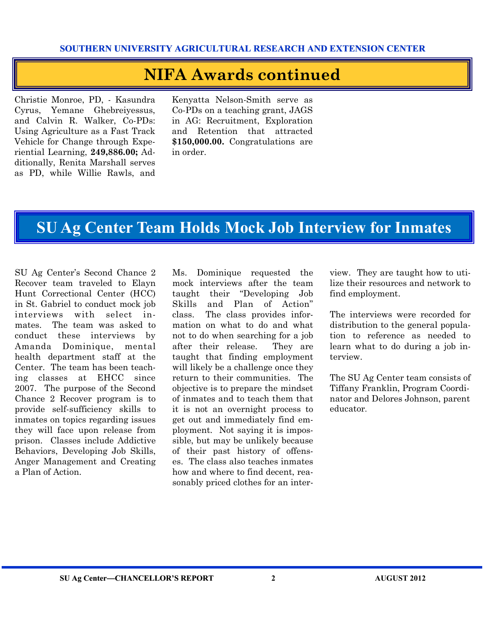## **NIFA Awards continued**

Christie Monroe, PD, - Kasundra Cyrus, Yemane Ghebreiyessus, and Calvin R. Walker, Co-PDs: Using Agriculture as a Fast Track Vehicle for Change through Experiential Learning, **249,886.00;** Additionally, Renita Marshall serves as PD, while Willie Rawls, and Kenyatta Nelson-Smith serve as Co-PDs on a teaching grant, JAGS in AG: Recruitment, Exploration and Retention that attracted **\$150,000.00.** Congratulations are in order.

## **SU Ag Center Team Holds Mock Job Interview for Inmates**

SU Ag Center's Second Chance 2 Recover team traveled to Elayn Hunt Correctional Center (HCC) in St. Gabriel to conduct mock job interviews with select inmates. The team was asked to conduct these interviews by Amanda Dominique, mental health department staff at the Center. The team has been teaching classes at EHCC since 2007. The purpose of the Second Chance 2 Recover program is to provide self-sufficiency skills to inmates on topics regarding issues they will face upon release from prison. Classes include Addictive Behaviors, Developing Job Skills, Anger Management and Creating a Plan of Action.

Ms. Dominique requested the mock interviews after the team taught their "Developing Job Skills and Plan of Action" class. The class provides information on what to do and what not to do when searching for a job after their release. They are taught that finding employment will likely be a challenge once they return to their communities. The objective is to prepare the mindset of inmates and to teach them that it is not an overnight process to get out and immediately find employment. Not saying it is impossible, but may be unlikely because of their past history of offenses. The class also teaches inmates how and where to find decent, reasonably priced clothes for an interview. They are taught how to utilize their resources and network to find employment.

The interviews were recorded for distribution to the general population to reference as needed to learn what to do during a job interview.

The SU Ag Center team consists of Tiffany Franklin, Program Coordinator and Delores Johnson, parent educator.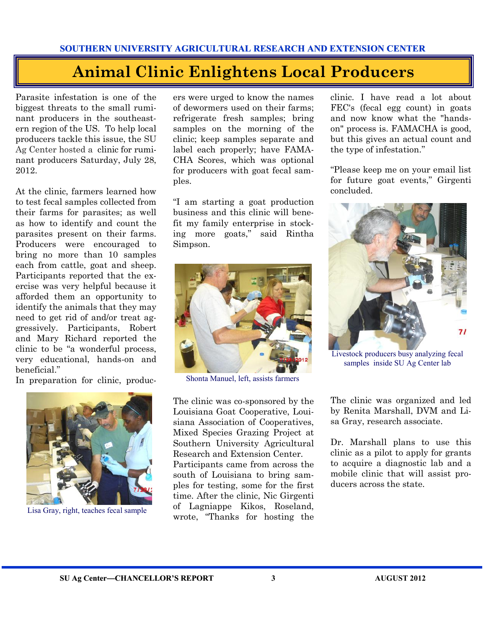## **Animal Clinic Enlightens Local Producers**

Parasite infestation is one of the biggest threats to the small ruminant producers in the southeastern region of the US. To help local producers tackle this issue, the SU Ag Center hosted a clinic for ruminant producers Saturday, July 28, 2012.

At the clinic, farmers learned how to test fecal samples collected from their farms for parasites; as well as how to identify and count the parasites present on their farms. Producers were encouraged to bring no more than 10 samples each from cattle, goat and sheep. Participants reported that the exercise was very helpful because it afforded them an opportunity to identify the animals that they may need to get rid of and/or treat aggressively. Participants, Robert and Mary Richard reported the clinic to be "a wonderful process, very educational, hands-on and beneficial."

In preparation for clinic, produc-



Lisa Gray, right, teaches fecal sample

ers were urged to know the names of dewormers used on their farms; refrigerate fresh samples; bring samples on the morning of the clinic; keep samples separate and label each properly; have FAMA-CHA Scores, which was optional for producers with goat fecal samples.

"I am starting a goat production business and this clinic will benefit my family enterprise in stocking more goats," said Rintha Simpson.



Shonta Manuel, left, assists farmers

The clinic was co-sponsored by the Louisiana Goat Cooperative, Louisiana Association of Cooperatives, Mixed Species Grazing Project at Southern University Agricultural Research and Extension Center. Participants came from across the south of Louisiana to bring samples for testing, some for the first time. After the clinic, Nic Girgenti of Lagniappe Kikos, Roseland, wrote, "Thanks for hosting the

clinic. I have read a lot about FEC's (fecal egg count) in goats and now know what the "handson" process is. FAMACHA is good, but this gives an actual count and the type of infestation.''

"Please keep me on your email list for future goat events," Girgenti concluded.



Livestock producers busy analyzing fecal samples inside SU Ag Center lab

The clinic was organized and led by Renita Marshall, DVM and Lisa Gray, research associate.

Dr. Marshall plans to use this clinic as a pilot to apply for grants to acquire a diagnostic lab and a mobile clinic that will assist producers across the state.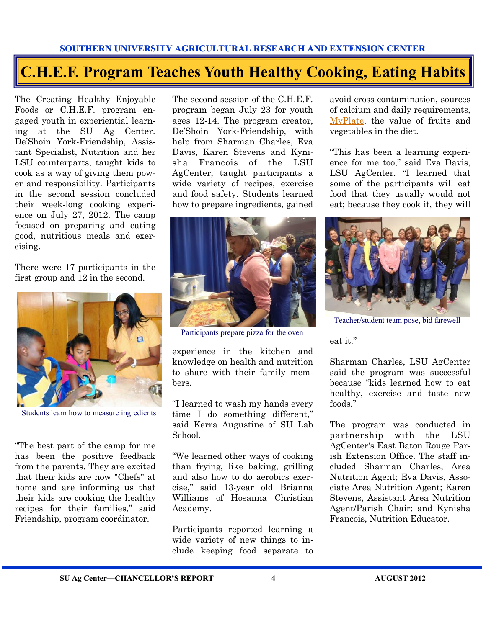## **C.H.E.F. Program Teaches Youth Healthy Cooking, Eating Habits**

The Creating Healthy Enjoyable Foods or C.H.E.F. program engaged youth in experiential learning at the SU Ag Center. De'Shoin York-Friendship, Assistant Specialist, Nutrition and her LSU counterparts, taught kids to cook as a way of giving them power and responsibility. Participants in the second session concluded their week-long cooking experience on July 27, 2012. The camp focused on preparing and eating good, nutritious meals and exercising.

There were 17 participants in the first group and 12 in the second.



Students learn how to measure ingredients

"The best part of the camp for me has been the positive feedback from the parents. They are excited that their kids are now "Chefs" at home and are informing us that their kids are cooking the healthy recipes for their families," said Friendship, program coordinator.

The second session of the C.H.E.F. program began July 23 for youth ages 12-14. The program creator, De'Shoin York-Friendship, with help from Sharman Charles, Eva Davis, Karen Stevens and Kynisha Francois of the LSU AgCenter, taught participants a wide variety of recipes, exercise and food safety. Students learned how to prepare ingredients, gained



Participants prepare pizza for the oven

experience in the kitchen and knowledge on health and nutrition to share with their family members.

"I learned to wash my hands every time I do something different," said Kerra Augustine of SU Lab School.

"We learned other ways of cooking than frying, like baking, grilling and also how to do aerobics exercise," said 13-year old Brianna Williams of Hosanna Christian Academy.

Participants reported learning a wide variety of new things to include keeping food separate to

avoid cross contamination, sources of calcium and daily requirements, [MyPlate,](http://www.choosemyplate.gov/) the value of fruits and vegetables in the diet.

"This has been a learning experience for me too," said Eva Davis, LSU AgCenter. "I learned that some of the participants will eat food that they usually would not eat; because they cook it, they will



Teacher/student team pose, bid farewell

eat it."

Sharman Charles, LSU AgCenter said the program was successful because "kids learned how to eat healthy, exercise and taste new foods."

The program was conducted in partnership with the LSU AgCenter's East Baton Rouge Parish Extension Office. The staff included Sharman Charles, Area Nutrition Agent; Eva Davis, Associate Area Nutrition Agent; Karen Stevens, Assistant Area Nutrition Agent/Parish Chair; and Kynisha Francois, Nutrition Educator.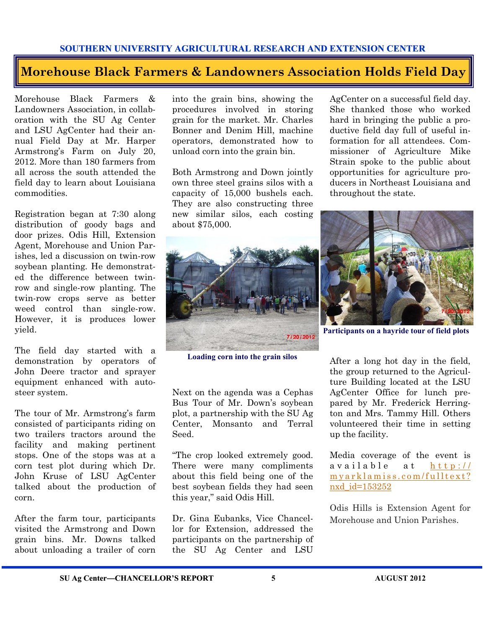#### **SOUTHERN UNIVERSITY AGRICULTURAL RESEARCH AND EXTENSION CENTER**

#### **Morehouse Black Farmers & Landowners Association Holds Field Day**

Morehouse Black Farmers & Landowners Association, in collaboration with the SU Ag Center and LSU AgCenter had their annual Field Day at Mr. Harper Armstrong's Farm on July 20, 2012. More than 180 farmers from all across the south attended the field day to learn about Louisiana commodities.

Registration began at 7:30 along distribution of goody bags and door prizes. Odis Hill, Extension Agent, Morehouse and Union Parishes, led a discussion on twin-row soybean planting. He demonstrated the difference between twinrow and single-row planting. The twin-row crops serve as better weed control than single-row. However, it is produces lower yield.

The field day started with a demonstration by operators of John Deere tractor and sprayer equipment enhanced with autosteer system.

The tour of Mr. Armstrong's farm consisted of participants riding on two trailers tractors around the facility and making pertinent stops. One of the stops was at a corn test plot during which Dr. John Kruse of LSU AgCenter talked about the production of corn.

After the farm tour, participants visited the Armstrong and Down grain bins. Mr. Downs talked about unloading a trailer of corn

into the grain bins, showing the procedures involved in storing grain for the market. Mr. Charles Bonner and Denim Hill, machine operators, demonstrated how to unload corn into the grain bin.

Both Armstrong and Down jointly own three steel grains silos with a capacity of 15,000 bushels each. They are also constructing three new similar silos, each costing about \$75,000.



**Loading corn into the grain silos**

Next on the agenda was a Cephas Bus Tour of Mr. Down's soybean plot, a partnership with the SU Ag Center, Monsanto and Terral Seed.

"The crop looked extremely good. There were many compliments about this field being one of the best soybean fields they had seen this year," said Odis Hill.

Dr. Gina Eubanks, Vice Chancellor for Extension, addressed the participants on the partnership of the SU Ag Center and LSU AgCenter on a successful field day. She thanked those who worked hard in bringing the public a productive field day full of useful information for all attendees. Commissioner of Agriculture Mike Strain spoke to the public about opportunities for agriculture producers in Northeast Louisiana and throughout the state.



**Participants on a hayride tour of field plots**

After a long hot day in the field, the group returned to the Agriculture Building located at the LSU AgCenter Office for lunch prepared by Mr. Frederick Herrington and Mrs. Tammy Hill. Others volunteered their time in setting up the facility.

Media coverage of the event is available at http:// [m y a r k l a m i s s . c o m / f u l l t e x t ?](http://myarklamiss.com/fulltext?nxd_id=153252) [nxd\\_id=153252](http://myarklamiss.com/fulltext?nxd_id=153252)

Odis Hills is Extension Agent for Morehouse and Union Parishes.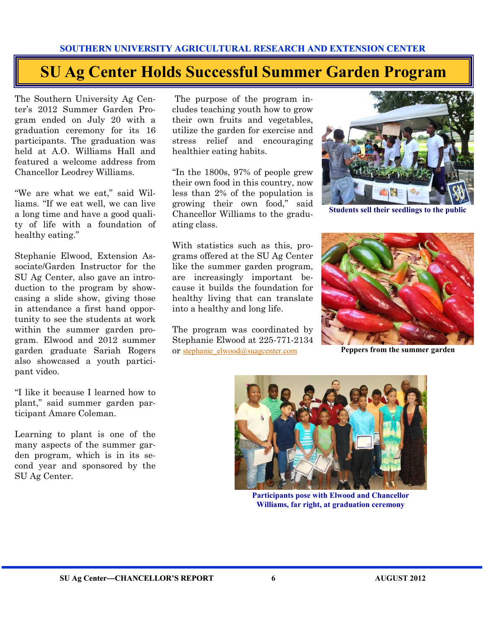#### **SU Ag Center Holds Successful Summer Garden Program**

The Southern University Ag Center's 2012 Summer Garden Program ended on July 20 with a graduation ceremony for its 16 participants. The graduation was held at A.O. Williams Hall and featured a welcome address from Chancellor Leodrey Williams.

"We are what we eat," said Williams. "If we eat well, we can live a long time and have a good quality of life with a foundation of healthy eating."

Stephanie Elwood, Extension Associate/Garden Instructor for the SU Ag Center, also gave an introduction to the program by showcasing a slide show, giving those in attendance a first hand opportunity to see the students at work within the summer garden program. Elwood and 2012 summer garden graduate Sariah Rogers also showcased a youth participant video.

"I like it because I learned how to plant," said summer garden participant Amare Coleman.

Learning to plant is one of the many aspects of the summer garden program, which is in its second year and sponsored by the SU Ag Center.

The purpose of the program includes teaching youth how to grow their own fruits and vegetables, utilize the garden for exercise and stress relief and encouraging healthier eating habits.

"In the 1800s, 97% of people grew their own food in this country, now less than 2% of the population is growing their own food," said Chancellor Williams to the graduating class.

With statistics such as this, programs offered at the SU Ag Center like the summer garden program, are increasingly important because it builds the foundation for healthy living that can translate into a healthy and long life.

The program was coordinated by Stephanie Elwood at 225-771-2134 or [stephanie\\_elwood@suagcenter.com](mailto:stephanie_elwood@suagcenter.com)



**Students sell their seedlings to the public** 



**Peppers from the summer garden**



**Participants pose with Elwood and Chancellor Williams, far right, at graduation ceremony**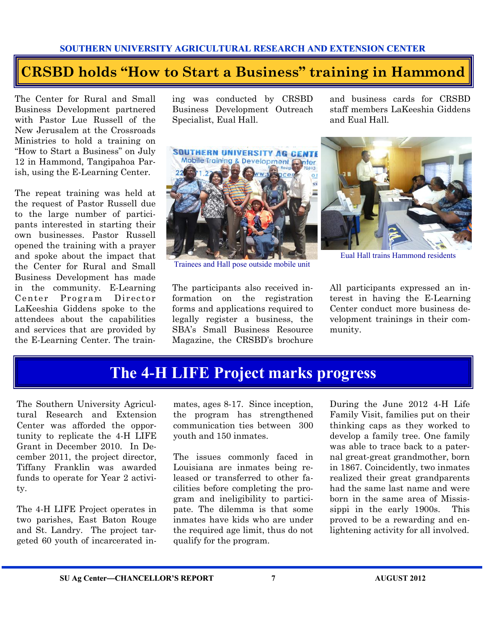#### **SOUTHERN UNIVERSITY AGRICULTURAL RESEARCH AND EXTENSION CENTER**

#### **CRSBD holds "How to Start a Business" training in Hammond**

The Center for Rural and Small Business Development partnered with Pastor Lue Russell of the New Jerusalem at the Crossroads Ministries to hold a training on "How to Start a Business" on July 12 in Hammond, Tangipahoa Parish, using the E-Learning Center.

The repeat training was held at the request of Pastor Russell due to the large number of participants interested in starting their own businesses. Pastor Russell opened the training with a prayer and spoke about the impact that the Center for Rural and Small Business Development has made in the community. E-Learning Center Program Director LaKeeshia Giddens spoke to the attendees about the capabilities and services that are provided by the E-Learning Center. The training was conducted by CRSBD Business Development Outreach Specialist, Eual Hall.



Trainees and Hall pose outside mobile unit

The participants also received information on the registration forms and applications required to legally register a business, the SBA's Small Business Resource Magazine, the CRSBD's brochure

and business cards for CRSBD staff members LaKeeshia Giddens and Eual Hall.



Eual Hall trains Hammond residents

All participants expressed an interest in having the E-Learning Center conduct more business development trainings in their community.

## **The 4-H LIFE Project marks progress**

The Southern University Agricultural Research and Extension Center was afforded the opportunity to replicate the 4-H LIFE Grant in December 2010. In December 2011, the project director, Tiffany Franklin was awarded funds to operate for Year 2 activity.

The 4-H LIFE Project operates in two parishes, East Baton Rouge and St. Landry. The project targeted 60 youth of incarcerated inmates, ages 8-17. Since inception, the program has strengthened communication ties between 300 youth and 150 inmates.

The issues commonly faced in Louisiana are inmates being released or transferred to other facilities before completing the program and ineligibility to participate. The dilemma is that some inmates have kids who are under the required age limit, thus do not qualify for the program.

During the June 2012 4-H Life Family Visit, families put on their thinking caps as they worked to develop a family tree. One family was able to trace back to a paternal great-great grandmother, born in 1867. Coincidently, two inmates realized their great grandparents had the same last name and were born in the same area of Mississippi in the early 1900s. This proved to be a rewarding and enlightening activity for all involved.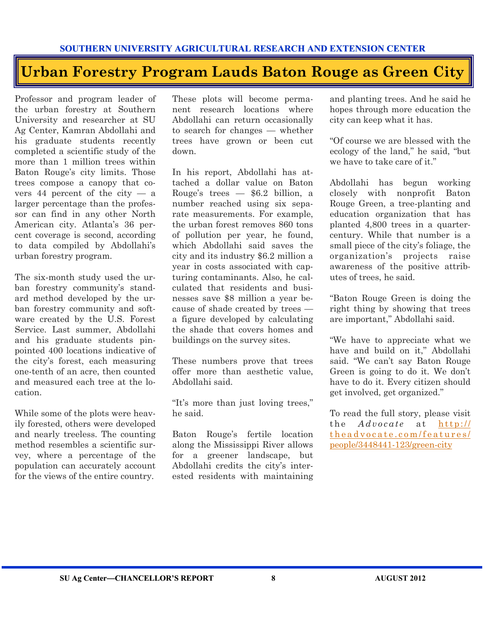#### **Urban Forestry Program Lauds Baton Rouge as Green City**

Professor and program leader of the urban forestry at Southern University and researcher at SU Ag Center, Kamran Abdollahi and his graduate students recently completed a scientific study of the more than 1 million trees within Baton Rouge's city limits. Those trees compose a canopy that covers 44 percent of the city  $- a$ larger percentage than the professor can find in any other North American city. Atlanta's 36 percent coverage is second, according to data compiled by Abdollahi's urban forestry program.

The six-month study used the urban forestry community's standard method developed by the urban forestry community and software created by the U.S. Forest Service. Last summer, Abdollahi and his graduate students pinpointed 400 locations indicative of the city's forest, each measuring one-tenth of an acre, then counted and measured each tree at the location.

While some of the plots were heavily forested, others were developed and nearly treeless. The counting method resembles a scientific survey, where a percentage of the population can accurately account for the views of the entire country.

These plots will become permanent research locations where Abdollahi can return occasionally to search for changes — whether trees have grown or been cut down.

In his report, Abdollahi has attached a dollar value on Baton Rouge's trees — \$6.2 billion, a number reached using six separate measurements. For example, the urban forest removes 860 tons of pollution per year, he found, which Abdollahi said saves the city and its industry \$6.2 million a year in costs associated with capturing contaminants. Also, he calculated that residents and businesses save \$8 million a year because of shade created by trees a figure developed by calculating the shade that covers homes and buildings on the survey sites.

These numbers prove that trees offer more than aesthetic value, Abdollahi said.

"It's more than just loving trees," he said.

Baton Rouge's fertile location along the Mississippi River allows for a greener landscape, but Abdollahi credits the city's interested residents with maintaining

and planting trees. And he said he hopes through more education the city can keep what it has.

"Of course we are blessed with the ecology of the land," he said, "but we have to take care of it."

Abdollahi has begun working closely with nonprofit Baton Rouge Green, a tree-planting and education organization that has planted 4,800 trees in a quartercentury. While that number is a small piece of the city's foliage, the organization's projects raise awareness of the positive attributes of trees, he said.

"Baton Rouge Green is doing the right thing by showing that trees are important," Abdollahi said.

"We have to appreciate what we have and build on it." Abdollahi said. "We can't say Baton Rouge Green is going to do it. We don't have to do it. Every citizen should get involved, get organized."

To read the full story, please visit the *Advocate* at http:// [t h e a d v o c a t e . c o m / f e a t u r e s /](http://theadvocate.com/features/people/3448441-123/green-city) [people/3448441-123/green-city](http://theadvocate.com/features/people/3448441-123/green-city)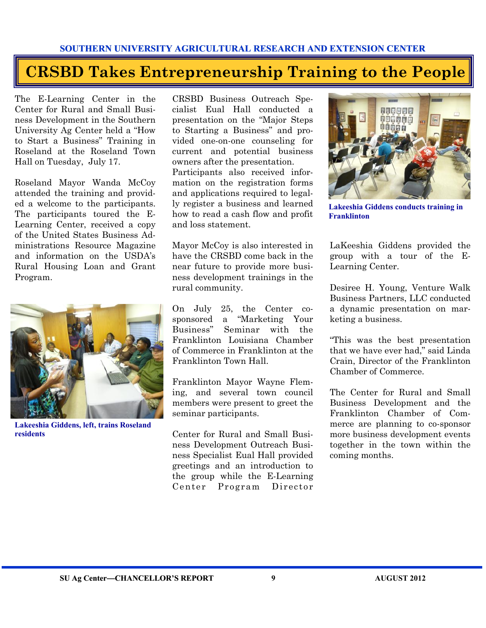#### **CRSBD Takes Entrepreneurship Training to the People**

The E-Learning Center in the Center for Rural and Small Business Development in the Southern University Ag Center held a "How to Start a Business" Training in Roseland at the Roseland Town Hall on Tuesday, July 17.

Roseland Mayor Wanda McCoy attended the training and provided a welcome to the participants. The participants toured the E-Learning Center, received a copy of the United States Business Administrations Resource Magazine and information on the USDA's Rural Housing Loan and Grant Program.



**Lakeeshia Giddens, left, trains Roseland residents**

CRSBD Business Outreach Specialist Eual Hall conducted a presentation on the "Major Steps to Starting a Business" and provided one-on-one counseling for current and potential business owners after the presentation. Participants also received information on the registration forms and applications required to legally register a business and learned how to read a cash flow and profit and loss statement.

Mayor McCoy is also interested in have the CRSBD come back in the near future to provide more business development trainings in the rural community.

On July 25, the Center cosponsored a "Marketing Your Business" Seminar with the Franklinton Louisiana Chamber of Commerce in Franklinton at the Franklinton Town Hall.

Franklinton Mayor Wayne Fleming, and several town council members were present to greet the seminar participants.

Center for Rural and Small Business Development Outreach Business Specialist Eual Hall provided greetings and an introduction to the group while the E-Learning Center Program Director



**Lakeeshia Giddens conducts training in Franklinton**

LaKeeshia Giddens provided the group with a tour of the E-Learning Center.

Desiree H. Young, Venture Walk Business Partners, LLC conducted a dynamic presentation on marketing a business.

"This was the best presentation that we have ever had," said Linda Crain, Director of the Franklinton Chamber of Commerce.

The Center for Rural and Small Business Development and the Franklinton Chamber of Commerce are planning to co-sponsor more business development events together in the town within the coming months.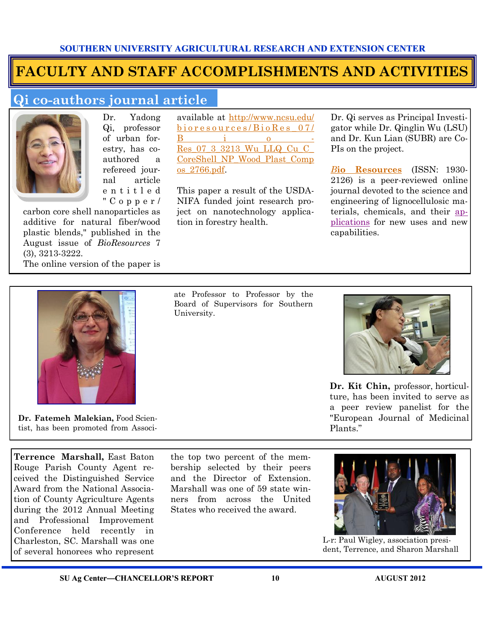## **FACULTY AND STAFF ACCOMPLISHMENTS AND ACTIVITIES**

#### **Qi co-authors journal article**



Dr. Yadong Qi, professor of urban forestry, has coauthored a refereed journal article e n t i t l e d " C o p p e r /

carbon core shell nanoparticles as additive for natural fiber/wood plastic blends," published in the August issue of *BioResources* 7 (3), 3213-3222.

The online version of the paper is

available at [http://www.ncsu.edu/](http://www.ncsu.edu/bioresources/BioRes_07/BioRes_07_3_3213_Wu_LLQ_Cu_C_CoreShell_NP_Wood_Plast_Compos_2766.pdf) biores ources/BioRes\_07/ [B i o -](http://www.ncsu.edu/bioresources/BioRes_07/BioRes_07_3_3213_Wu_LLQ_Cu_C_CoreShell_NP_Wood_Plast_Compos_2766.pdf) [Res\\_07\\_3\\_3213\\_Wu\\_LLQ\\_Cu\\_C\\_](http://www.ncsu.edu/bioresources/BioRes_07/BioRes_07_3_3213_Wu_LLQ_Cu_C_CoreShell_NP_Wood_Plast_Compos_2766.pdf) [CoreShell\\_NP\\_Wood\\_Plast\\_Comp](http://www.ncsu.edu/bioresources/BioRes_07/BioRes_07_3_3213_Wu_LLQ_Cu_C_CoreShell_NP_Wood_Plast_Compos_2766.pdf) [os\\_2766.pdf.](http://www.ncsu.edu/bioresources/BioRes_07/BioRes_07_3_3213_Wu_LLQ_Cu_C_CoreShell_NP_Wood_Plast_Compos_2766.pdf)

This paper a result of the USDA-NIFA funded joint research project on nanotechnology application in forestry health.

ate Professor to Professor by the Board of Supervisors for Southern

University.

Dr. Qi serves as Principal Investigator while Dr. Qinglin Wu (LSU) and Dr. Kun Lian (SUBR) are Co-PIs on the project.

*B***[io Resources](http://www.ncsu.edu/bioresources/#About_Journal)** (ISSN: 1930- 2126) is a peer-reviewed online journal devoted to the science and engineering of lignocellulosic materials, chemicals, and their [ap](http://www.ncsu.edu/bioresources/)[plications](http://www.ncsu.edu/bioresources/) for new uses and new capabilities.



**Dr. Fatemeh Malekian,** Food Scientist, has been promoted from Associ-

**Terrence Marshall,** East Baton Rouge Parish County Agent received the Distinguished Service Award from the National Association of County Agriculture Agents during the 2012 Annual Meeting and Professional Improvement Conference held recently in Charleston, SC. Marshall was one of several honorees who represent

the top two percent of the membership selected by their peers and the Director of Extension. Marshall was one of 59 state winners from across the United States who received the award.



**Dr. Kit Chin,** professor, horticulture, has been invited to serve as a peer review panelist for the "European Journal of Medicinal Plants."



L-r: Paul Wigley, association president, Terrence, and Sharon Marshall